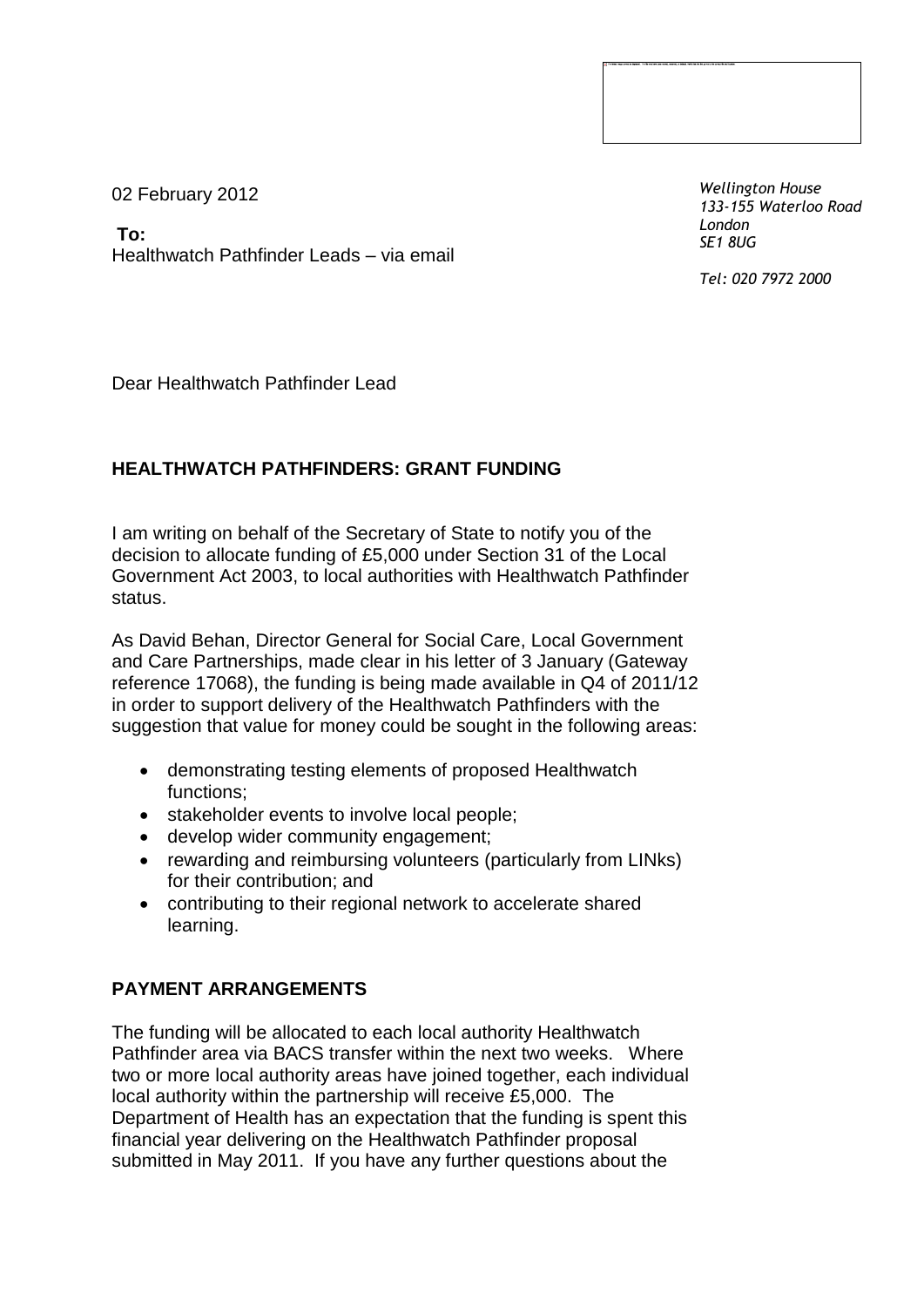02 February 2012

**To:** Healthwatch Pathfinder Leads – via email *Wellington House 133-155 Waterloo Road London SE1 8UG*

*Tel: 020 7972 2000*

Dear Healthwatch Pathfinder Lead

## **HEALTHWATCH PATHFINDERS: GRANT FUNDING**

I am writing on behalf of the Secretary of State to notify you of the decision to allocate funding of £5,000 under Section 31 of the Local Government Act 2003, to local authorities with Healthwatch Pathfinder status.

As David Behan, Director General for Social Care, Local Government and Care Partnerships, made clear in his letter of 3 January (Gateway reference 17068), the funding is being made available in Q4 of 2011/12 in order to support delivery of the Healthwatch Pathfinders with the suggestion that value for money could be sought in the following areas:

- demonstrating testing elements of proposed Healthwatch functions;
- stakeholder events to involve local people:
- develop wider community engagement;
- rewarding and reimbursing volunteers (particularly from LINks) for their contribution; and
- contributing to their regional network to accelerate shared learning.

## **PAYMENT ARRANGEMENTS**

The funding will be allocated to each local authority Healthwatch Pathfinder area via BACS transfer within the next two weeks. Where two or more local authority areas have joined together, each individual local authority within the partnership will receive £5,000. The Department of Health has an expectation that the funding is spent this financial year delivering on the Healthwatch Pathfinder proposal submitted in May 2011. If you have any further questions about the